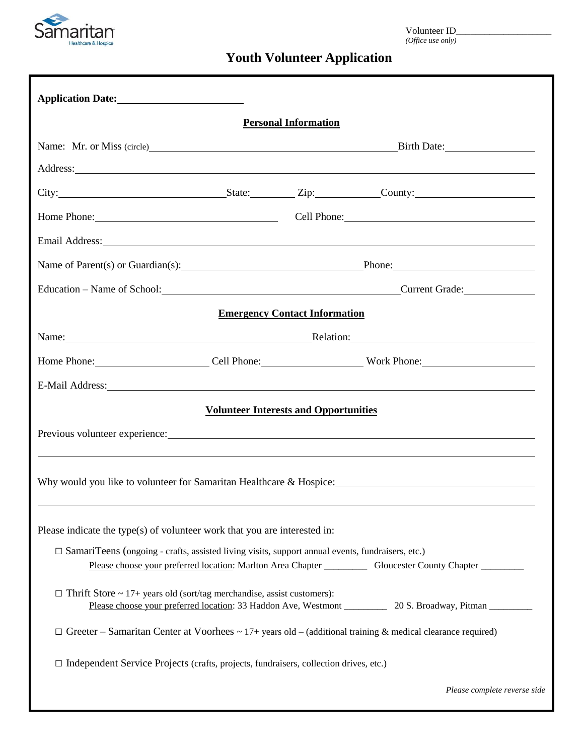

# **Youth Volunteer Application**

|                                                                                                         |                                                 | <b>Personal Information</b>          |                                                                                                                                                                                                                                |
|---------------------------------------------------------------------------------------------------------|-------------------------------------------------|--------------------------------------|--------------------------------------------------------------------------------------------------------------------------------------------------------------------------------------------------------------------------------|
|                                                                                                         |                                                 |                                      |                                                                                                                                                                                                                                |
|                                                                                                         |                                                 |                                      |                                                                                                                                                                                                                                |
|                                                                                                         |                                                 |                                      | City: City: City: City: County: County:                                                                                                                                                                                        |
|                                                                                                         | Home Phone: Cell Phone: Cell Phone:             |                                      |                                                                                                                                                                                                                                |
|                                                                                                         |                                                 |                                      | Email Address: Note that the contract of the contract of the contract of the contract of the contract of the contract of the contract of the contract of the contract of the contract of the contract of the contract of the c |
|                                                                                                         | Name of Parent(s) or Guardian(s): Phone: Phone: |                                      |                                                                                                                                                                                                                                |
|                                                                                                         |                                                 |                                      | Education - Name of School: Current Grade:                                                                                                                                                                                     |
|                                                                                                         |                                                 | <b>Emergency Contact Information</b> |                                                                                                                                                                                                                                |
|                                                                                                         | Name: Relation: Relation:                       |                                      |                                                                                                                                                                                                                                |
|                                                                                                         |                                                 |                                      |                                                                                                                                                                                                                                |
|                                                                                                         |                                                 |                                      | E-Mail Address: No. 2016. The Mail Address: No. 2016. The Mail Address: No. 2016. The Mail Address: No. 2016. The Mail Address: No. 2016. The Mail Address: No. 2016. The Mail Address: No. 2016. The Mail Address: No. 2016.  |
|                                                                                                         | <b>Volunteer Interests and Opportunities</b>    |                                      |                                                                                                                                                                                                                                |
|                                                                                                         |                                                 |                                      | Previous volunteer experience: Universal property and the contract of the contract of the contract of the contract of the contract of the contract of the contract of the contract of the contract of the contract of the cont |
|                                                                                                         |                                                 |                                      |                                                                                                                                                                                                                                |
|                                                                                                         |                                                 |                                      |                                                                                                                                                                                                                                |
|                                                                                                         |                                                 |                                      |                                                                                                                                                                                                                                |
| Please indicate the type(s) of volunteer work that you are interested in:                               |                                                 |                                      |                                                                                                                                                                                                                                |
| $\Box$ SamariTeens (ongoing - crafts, assisted living visits, support annual events, fundraisers, etc.) |                                                 |                                      |                                                                                                                                                                                                                                |
|                                                                                                         |                                                 |                                      |                                                                                                                                                                                                                                |
| $\Box$ Thrift Store ~ 17+ years old (sort/tag merchandise, assist customers):                           |                                                 |                                      |                                                                                                                                                                                                                                |
|                                                                                                         |                                                 |                                      | $\Box$ Greeter – Samaritan Center at Voorhees ~ 17+ years old – (additional training & medical clearance required)                                                                                                             |
| $\Box$ Independent Service Projects (crafts, projects, fundraisers, collection drives, etc.)            |                                                 |                                      |                                                                                                                                                                                                                                |
|                                                                                                         |                                                 |                                      | Please complete reverse side                                                                                                                                                                                                   |